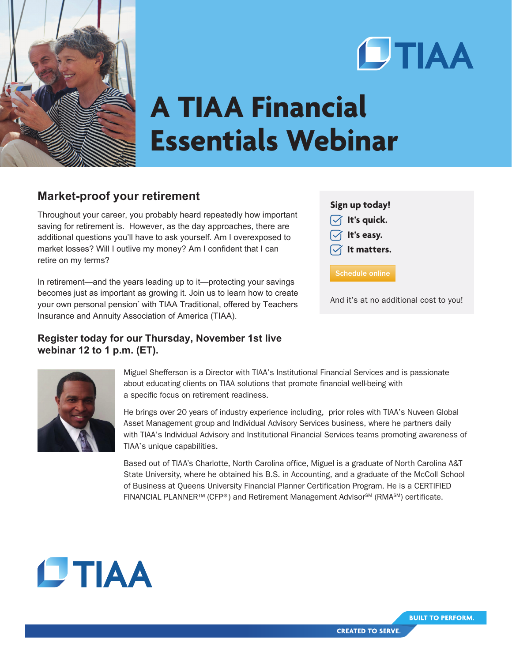



## **A TIAA Financial Essentials Webinar**

## **Market-proof your retirement**

Throughout your career, you probably heard repeatedly how important saving for retirement is. However, as the day approaches, there are additional questions you'll have to ask yourself. Am I overexposed to market losses? Will I outlive my money? Am I confident that I can retire on my terms?

In retirement—and the years leading up to it—protecting your savings becomes just as important as growing it. Join us to learn how to create your own personal pension<sup>\*</sup> with TIAA Traditional, offered by Teachers Insurance and Annuity Association of America (TIAA).

## **Register today for our Thursday, November 1st live webinar 12 to 1 p.m. (ET).**

## **Sign up today!**

 **It's quick. It's easy.**

**It matters.**

[Schedule online](https://vshow.on24.com/vshow/TIAACREF_VE/content/1811859)

And it's at no additional cost to you!



Miguel Shefferson is a Director with TIAA's Institutional Financial Services and is passionate about educating clients on TIAA solutions that promote financial well-being with a specific focus on retirement readiness.

He brings over 20 years of industry experience including, prior roles with TIAA's Nuveen Global Asset Management group and Individual Advisory Services business, where he partners daily with TIAA's Individual Advisory and Institutional Financial Services teams promoting awareness of TIAA's unique capabilities.

Based out of TIAA's Charlotte, North Carolina office, Miguel is a graduate of North Carolina A&T State University, where he obtained his B.S. in Accounting, and a graduate of the McColl School of Business at Queens University Financial Planner Certification Program. He is a CERTIFIED FINANCIAL PLANNER™ (CFP®) and Retirement Management Advisor<sup>sM</sup> (RMA<sup>SM</sup>) certificate.



**BUILT TO PERFORM.**